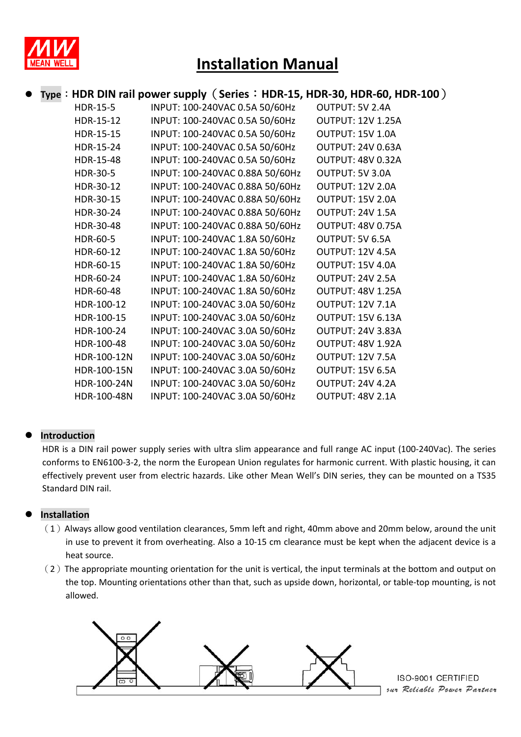

## **Installation Manual**

## **Type**:**HDR DIN rail power supply**(**Series**:**HDR-15, HDR-30, HDR-60, HDR-100**)

| <b>HDR-15-5</b> | INPUT: 100-240VAC 0.5A 50/60Hz  | OUTPUT: 5V 2.4A          |
|-----------------|---------------------------------|--------------------------|
| HDR-15-12       | INPUT: 100-240VAC 0.5A 50/60Hz  | <b>OUTPUT: 12V 1.25A</b> |
| HDR-15-15       | INPUT: 100-240VAC 0.5A 50/60Hz  | OUTPUT: 15V 1.0A         |
| HDR-15-24       | INPUT: 100-240VAC 0.5A 50/60Hz  | <b>OUTPUT: 24V 0.63A</b> |
| HDR-15-48       | INPUT: 100-240VAC 0.5A 50/60Hz  | <b>OUTPUT: 48V 0.32A</b> |
| <b>HDR-30-5</b> | INPUT: 100-240VAC 0.88A 50/60Hz | OUTPUT: 5V 3.0A          |
| HDR-30-12       | INPUT: 100-240VAC 0.88A 50/60Hz | <b>OUTPUT: 12V 2.0A</b>  |
| HDR-30-15       | INPUT: 100-240VAC 0.88A 50/60Hz | OUTPUT: 15V 2.0A         |
| HDR-30-24       | INPUT: 100-240VAC 0.88A 50/60Hz | OUTPUT: 24V 1.5A         |
| HDR-30-48       | INPUT: 100-240VAC 0.88A 50/60Hz | <b>OUTPUT: 48V 0.75A</b> |
| HDR-60-5        | INPUT: 100-240VAC 1.8A 50/60Hz  | OUTPUT: 5V 6.5A          |
| HDR-60-12       | INPUT: 100-240VAC 1.8A 50/60Hz  | OUTPUT: 12V 4.5A         |
| HDR-60-15       | INPUT: 100-240VAC 1.8A 50/60Hz  | OUTPUT: 15V 4.0A         |
| HDR-60-24       | INPUT: 100-240VAC 1.8A 50/60Hz  | OUTPUT: 24V 2.5A         |
| HDR-60-48       | INPUT: 100-240VAC 1.8A 50/60Hz  | <b>OUTPUT: 48V 1.25A</b> |
| HDR-100-12      | INPUT: 100-240VAC 3.0A 50/60Hz  | OUTPUT: 12V 7.1A         |
| HDR-100-15      | INPUT: 100-240VAC 3.0A 50/60Hz  | <b>OUTPUT: 15V 6.13A</b> |
| HDR-100-24      | INPUT: 100-240VAC 3.0A 50/60Hz  | <b>OUTPUT: 24V 3.83A</b> |
| HDR-100-48      | INPUT: 100-240VAC 3.0A 50/60Hz  | <b>OUTPUT: 48V 1.92A</b> |
| HDR-100-12N     | INPUT: 100-240VAC 3.0A 50/60Hz  | <b>OUTPUT: 12V 7.5A</b>  |
| HDR-100-15N     | INPUT: 100-240VAC 3.0A 50/60Hz  | OUTPUT: 15V 6.5A         |
| HDR-100-24N     | INPUT: 100-240VAC 3.0A 50/60Hz  | OUTPUT: 24V 4.2A         |
| HDR-100-48N     | INPUT: 100-240VAC 3.0A 50/60Hz  | OUTPUT: 48V 2.1A         |

## **Introduction**

HDR is a DIN rail power supply series with ultra slim appearance and full range AC input (100-240Vac). The series conforms to EN6100-3-2, the norm the European Union regulates for harmonic current. With plastic housing, it can effectively prevent user from electric hazards. Like other Mean Well's DIN series, they can be mounted on a TS35 Standard DIN rail.

## **Installation**

- $(1)$  Always allow good ventilation clearances, 5mm left and right, 40mm above and 20mm below, around the unit in use to prevent it from overheating. Also a 10-15 cm clearance must be kept when the adjacent device is a heat source.
- $(2)$  The appropriate mounting orientation for the unit is vertical, the input terminals at the bottom and output on the top. Mounting orientations other than that, such as upside down, horizontal, or table-top mounting, is not allowed.

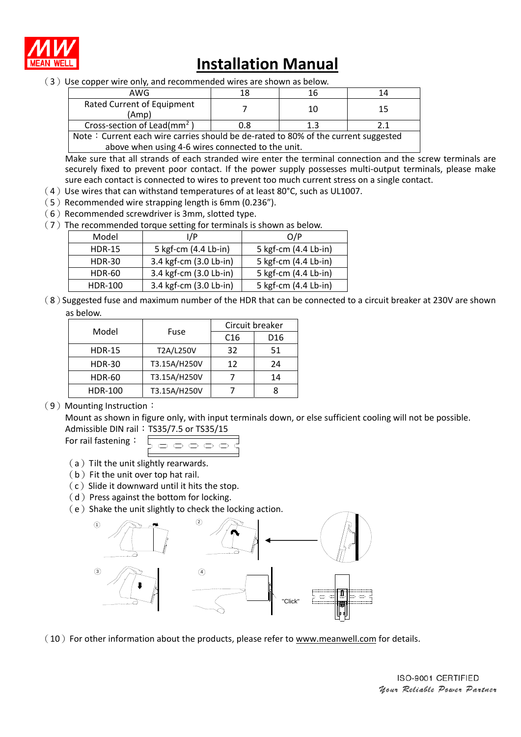

# **Installation Manual**

(3)Use copper wire only, and recommended wires are shown as below.

| AWG                                                                                |     |    | 17 |  |
|------------------------------------------------------------------------------------|-----|----|----|--|
| Rated Current of Equipment<br>(Amp)                                                |     | 10 | 15 |  |
| Cross-section of Lead( $mm2$ )                                                     | 0.8 |    |    |  |
| Note: Current each wire carries should be de-rated to 80% of the current suggested |     |    |    |  |

above when using 4-6 wires connected to the unit.

Make sure that all strands of each stranded wire enter the terminal connection and the screw terminals are securely fixed to prevent poor contact. If the power supply possesses multi-output terminals, please make sure each contact is connected to wires to prevent too much current stress on a single contact.

- $(4)$  Use wires that can withstand temperatures of at least 80°C, such as UL1007.
- $(5)$  Recommended wire strapping length is 6mm (0.236").
- $(6)$  Recommended screwdriver is 3mm, slotted type.
- $(7)$  The recommended torque setting for terminals is shown as below.

| Model         | I/P                    | O/P                  |
|---------------|------------------------|----------------------|
| <b>HDR-15</b> | 5 kgf-cm (4.4 Lb-in)   | 5 kgf-cm (4.4 Lb-in) |
| <b>HDR-30</b> | 3.4 kgf-cm (3.0 Lb-in) | 5 kgf-cm (4.4 Lb-in) |
| <b>HDR-60</b> | 3.4 kgf-cm (3.0 Lb-in) | 5 kgf-cm (4.4 Lb-in) |
| HDR-100       | 3.4 kgf-cm (3.0 Lb-in) | 5 kgf-cm (4.4 Lb-in) |

(8)Suggested fuse and maximum number of the HDR that can be connected to a circuit breaker at 230V are shown as below.

| Model          | Fuse         | Circuit breaker |                 |
|----------------|--------------|-----------------|-----------------|
|                |              | C <sub>16</sub> | D <sub>16</sub> |
| <b>HDR-15</b>  | T2A/L250V    | 32              | 51              |
| <b>HDR-30</b>  | T3.15A/H250V | 12              | 24              |
| <b>HDR-60</b>  | T3.15A/H250V |                 | 14              |
| <b>HDR-100</b> | T3.15A/H250V |                 |                 |

#### (9) Mounting Instruction:

Mount as shown in figure only, with input terminals down, or else sufficient cooling will not be possible. Admissible DIN rail: TS35/7.5 or TS35/15

| For rail fastening: | o o o o |
|---------------------|---------|
|                     |         |

- (a) Tilt the unit slightly rearwards.
- $(b)$  Fit the unit over top hat rail.
- $(c)$  Slide it downward until it hits the stop.
- $(d)$  Press against the bottom for locking.
- $(e)$  Shake the unit slightly to check the locking action.



 $(10)$  For other information about the products, please refer to www.meanwell.com for details.